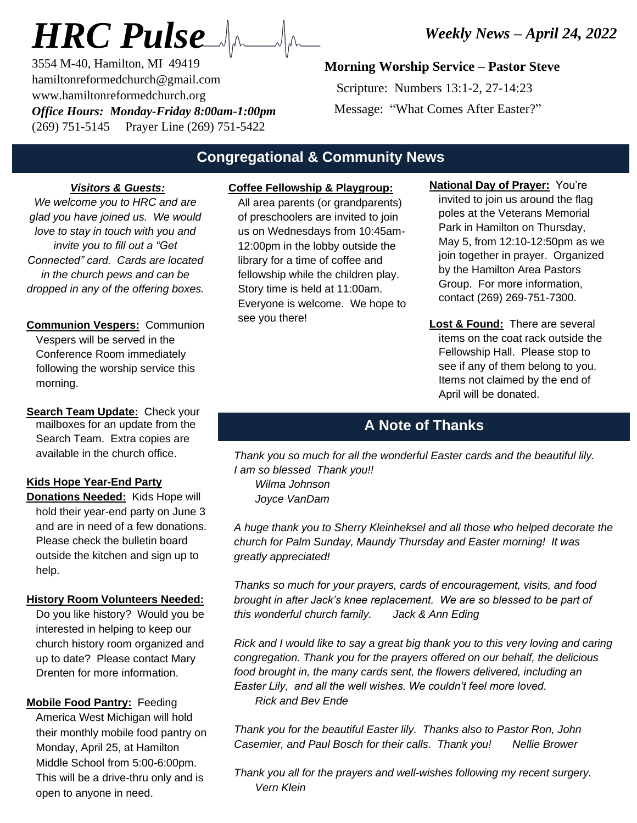# *HRC Pulse*

3554 M-40, Hamilton, MI 49419 hamiltonreformedchurch@gmail.com www.hamiltonreformedchurch.org *Office Hours: Monday-Friday 8:00am-1:00pm* (269) 751-5145 Prayer Line (269) 751-5422

## **Morning Worship Service – Pastor Steve**

 Scripture: Numbers 13:1-2, 27-14:23 Message: "What Comes After Easter?"

## **Congregational & Community News**

#### *Visitors & Guests:*

*We welcome you to HRC and are glad you have joined us. We would love to stay in touch with you and invite you to fill out a "Get Connected" card. Cards are located in the church pews and can be dropped in any of the offering boxes.*

**Communion Vespers:** Communion Vespers will be served in the Conference Room immediately following the worship service this morning.

**Search Team Update:** Check your mailboxes for an update from the Search Team. Extra copies are available in the church office.

#### **Kids Hope Year-End Party**

**Donations Needed:** Kids Hope will hold their year-end party on June 3 and are in need of a few donations. Please check the bulletin board outside the kitchen and sign up to help.

#### **History Room Volunteers Needed:**

Do you like history? Would you be interested in helping to keep our church history room organized and up to date? Please contact Mary Drenten for more information.

**Mobile Food Pantry:** Feeding America West Michigan will hold their monthly mobile food pantry on Monday, April 25, at Hamilton Middle School from 5:00-6:00pm. This will be a drive-thru only and is open to anyone in need.

## **Coffee Fellowship & Playgroup:**

All area parents (or grandparents) of preschoolers are invited to join us on Wednesdays from 10:45am-12:00pm in the lobby outside the library for a time of coffee and fellowship while the children play. Story time is held at 11:00am. Everyone is welcome. We hope to see you there!

**National Day of Prayer:** You're invited to join us around the flag poles at the Veterans Memorial Park in Hamilton on Thursday, May 5, from 12:10-12:50pm as we join together in prayer. Organized by the Hamilton Area Pastors Group. For more information, contact (269) 269-751-7300.

**Lost & Found:** There are several items on the coat rack outside the Fellowship Hall. Please stop to see if any of them belong to you. Items not claimed by the end of April will be donated.

## **A Note of Thanks**

*Thank you so much for all the wonderful Easter cards and the beautiful lily. I am so blessed Thank you!! Wilma Johnson Joyce VanDam*

*A huge thank you to Sherry Kleinheksel and all those who helped decorate the church for Palm Sunday, Maundy Thursday and Easter morning! It was greatly appreciated!*

*Thanks so much for your prayers, cards of encouragement, visits, and food brought in after Jack's knee replacement. We are so blessed to be part of this wonderful church family. Jack & Ann Eding*

*Rick and I would like to say a great big thank you to this very loving and caring congregation. Thank you for the prayers offered on our behalf, the delicious food brought in, the many cards sent, the flowers delivered, including an Easter Lily, and all the well wishes. We couldn't feel more loved. Rick and Bev Ende*

*Thank you for the beautiful Easter lily. Thanks also to Pastor Ron, John Casemier, and Paul Bosch for their calls. Thank you! Nellie Brower*

*Thank you all for the prayers and well-wishes following my recent surgery. Vern Klein*